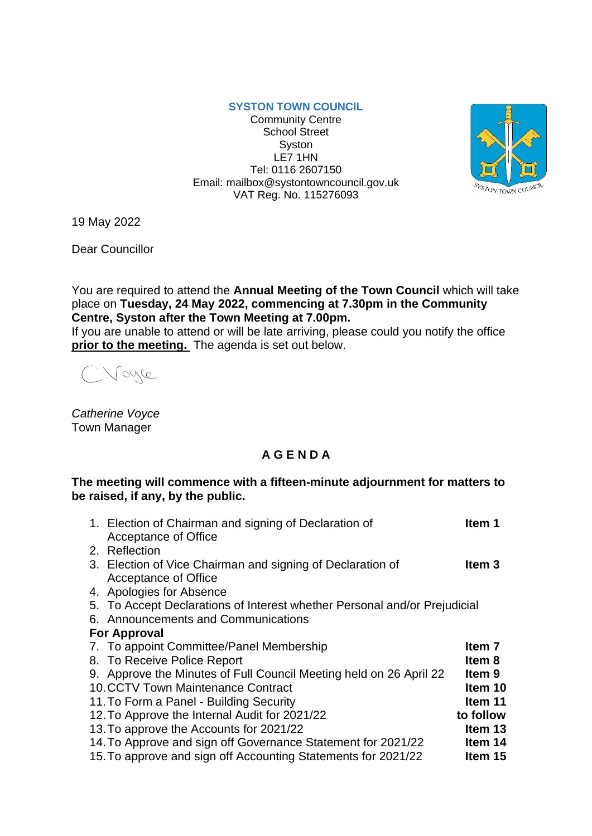## **SYSTON TOWN COUNCIL**

Community Centre School Street **Syston** LE7 1HN Tel: 0116 2607150 Email: mailbox@systontowncouncil.gov.uk VAT Reg. No. 115276093



19 May 2022

Dear Councillor

You are required to attend the **Annual Meeting of the Town Council** which will take place on **Tuesday, 24 May 2022, commencing at 7.30pm in the Community Centre, Syston after the Town Meeting at 7.00pm.**

If you are unable to attend or will be late arriving, please could you notify the office **prior to the meeting.** The agenda is set out below.

Voyce

*Catherine Voyce* Town Manager

## **A G E N D A**

## **The meeting will commence with a fifteen-minute adjournment for matters to be raised, if any, by the public.**

|                     | 1. Election of Chairman and signing of Declaration of                     | Item 1    |  |
|---------------------|---------------------------------------------------------------------------|-----------|--|
|                     | Acceptance of Office                                                      |           |  |
|                     | 2. Reflection                                                             |           |  |
|                     | 3. Election of Vice Chairman and signing of Declaration of                | ltem 3    |  |
|                     | <b>Acceptance of Office</b>                                               |           |  |
|                     | 4. Apologies for Absence                                                  |           |  |
|                     | 5. To Accept Declarations of Interest whether Personal and/or Prejudicial |           |  |
|                     | 6. Announcements and Communications                                       |           |  |
| <b>For Approval</b> |                                                                           |           |  |
|                     | 7. To appoint Committee/Panel Membership                                  | Item 7    |  |
|                     | 8. To Receive Police Report                                               | Item 8    |  |
|                     | 9. Approve the Minutes of Full Council Meeting held on 26 April 22        | ltem 9    |  |
|                     | 10. CCTV Town Maintenance Contract                                        | Item 10   |  |
|                     | 11. To Form a Panel - Building Security                                   | Item 11   |  |
|                     | 12. To Approve the Internal Audit for 2021/22                             | to follow |  |
|                     | 13. To approve the Accounts for 2021/22                                   | Item 13   |  |
|                     | 14. To Approve and sign off Governance Statement for 2021/22              | Item 14   |  |
|                     | 15. To approve and sign off Accounting Statements for 2021/22             | Item 15   |  |
|                     |                                                                           |           |  |